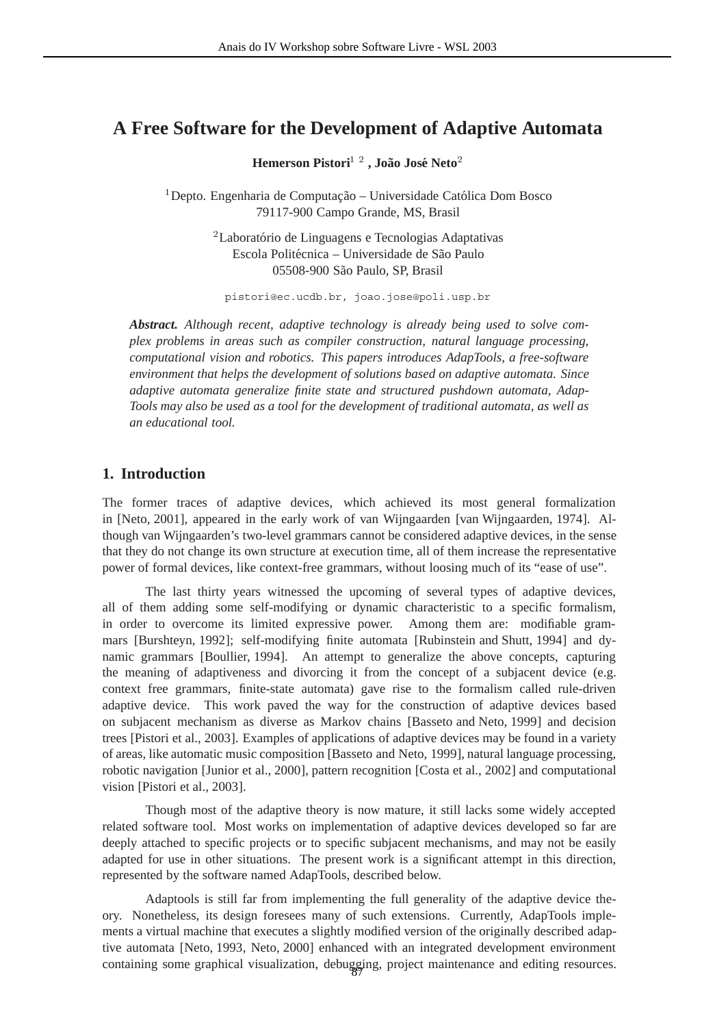# **A Free Software for the Development of Adaptive Automata**

**Hemerson Pistori , Joao Jos ˜ e Neto ´**

<sup>1</sup> Depto. Engenharia de Computação – Universidade Católica Dom Bosco 79117-900 Campo Grande, MS, Brasil

> <sup>2</sup> Laboratório de Linguagens e Tecnologias Adaptativas Escola Politécnica – Universidade de São Paulo 05508-900 S˜ao Paulo, SP, Brasil

pistori@ec.ucdb.br, joao.jose@poli.usp.br

*Abstract. Although recent, adaptive technology is already being used to solve complex problems in areas such as compiler construction, natural language processing, computational vision and robotics. This papers introduces AdapTools, a free-software environment that helps the development of solutions based on adaptive automata. Since adaptive automata generalize finite state and structured pushdown automata, Adap-Tools may also be used as a tool for the development of traditional automata, as well as an educational tool.*

# **1. Introduction**

The former traces of adaptive devices, which achieved its most general formalization in [Neto, 2001], appeared in the early work of van Wijngaarden [van Wijngaarden, 1974]. Although van Wijngaarden's two-level grammars cannot be considered adaptive devices, in the sense that they do not change its own structure at execution time, all of them increase the representative power of formal devices, like context-free grammars, without loosing much of its "ease of use".

The last thirty years witnessed the upcoming of several types of adaptive devices, all of them adding some self-modifying or dynamic characteristic to a specific formalism, in order to overcome its limited expressive power. Among them are: modifiable grammars [Burshteyn, 1992]; self-modifying finite automata [Rubinstein and Shutt, 1994] and dynamic grammars [Boullier, 1994]. An attempt to generalize the above concepts, capturing the meaning of adaptiveness and divorcing it from the concept of a subjacent device (e.g. context free grammars, finite-state automata) gave rise to the formalism called rule-driven adaptive device. This work paved the way for the construction of adaptive devices based on subjacent mechanism as diverse as Markov chains [Basseto and Neto, 1999] and decision trees [Pistori et al., 2003]. Examples of applications of adaptive devices may be found in a variety of areas, like automatic music composition [Basseto and Neto, 1999], natural language processing, robotic navigation [Junior et al., 2000], pattern recognition [Costa et al., 2002] and computational vision [Pistori et al., 2003].

Though most of the adaptive theory is now mature, it still lacks some widely accepted related software tool. Most works on implementation of adaptive devices developed so far are deeply attached to specific projects or to specific subjacent mechanisms, and may not be easily adapted for use in other situations. The present work is a significant attempt in this direction, represented by the software named AdapTools, described below.

containing some graphical visualization, debugging, project maintenance and editing resources. Adaptools is still far from implementing the full generality of the adaptive device theory. Nonetheless, its design foresees many of such extensions. Currently, AdapTools implements a virtual machine that executes a slightly modified version of the originally described adaptive automata [Neto, 1993, Neto, 2000] enhanced with an integrated development environment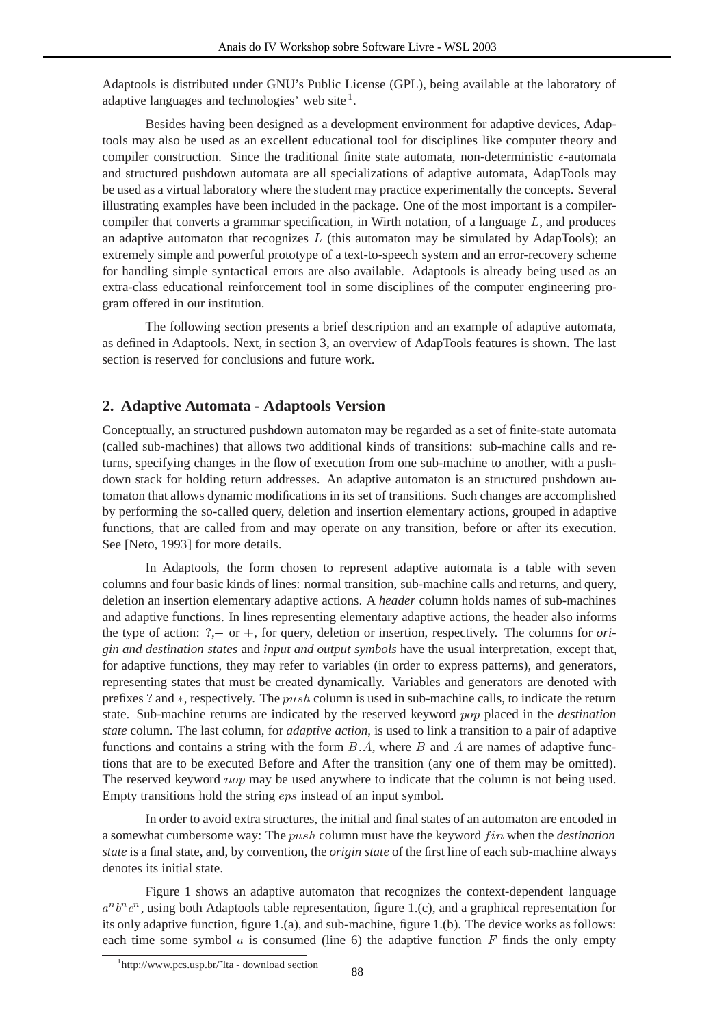Adaptools is distributed under GNU's Public License (GPL), being available at the laboratory of adaptive languages and technologies' web site $<sup>1</sup>$ .</sup>

Besides having been designed as a development environment for adaptive devices, Adaptools may also be used as an excellent educational tool for disciplines like computer theory and compiler construction. Since the traditional finite state automata, non-deterministic  $\epsilon$ -automata and structured pushdown automata are all specializations of adaptive automata, AdapTools may be used as a virtual laboratory where the student may practice experimentally the concepts. Several illustrating examples have been included in the package. One of the most important is a compilercompiler that converts a grammar specification, in Wirth notation, of a language  $L$ , and produces an adaptive automaton that recognizes  $L$  (this automaton may be simulated by AdapTools); an extremely simple and powerful prototype of a text-to-speech system and an error-recovery scheme for handling simple syntactical errors are also available. Adaptools is already being used as an extra-class educational reinforcement tool in some disciplines of the computer engineering program offered in our institution.

The following section presents a brief description and an example of adaptive automata, as defined in Adaptools. Next, in section 3, an overview of AdapTools features is shown. The last section is reserved for conclusions and future work.

## **2. Adaptive Automata - Adaptools Version**

Conceptually, an structured pushdown automaton may be regarded as a set of finite-state automata (called sub-machines) that allows two additional kinds of transitions: sub-machine calls and returns, specifying changes in the flow of execution from one sub-machine to another, with a pushdown stack for holding return addresses. An adaptive automaton is an structured pushdown automaton that allows dynamic modifications in its set of transitions. Such changes are accomplished by performing the so-called query, deletion and insertion elementary actions, grouped in adaptive functions, that are called from and may operate on any transition, before or after its execution. See [Neto, 1993] for more details.

In Adaptools, the form chosen to represent adaptive automata is a table with seven columns and four basic kinds of lines: normal transition, sub-machine calls and returns, and query, deletion an insertion elementary adaptive actions. A *header* column holds names of sub-machines and adaptive functions. In lines representing elementary adaptive actions, the header also informs the type of action:  $?$ , - or +, for query, deletion or insertion, respectively. The columns for *origin and destination states* and *input and output symbols* have the usual interpretation, except that, for adaptive functions, they may refer to variables (in order to express patterns), and generators, representing states that must be created dynamically. Variables and generators are denoted with prefixes ? and  $\ast$ , respectively. The push column is used in sub-machine calls, to indicate the return state. Sub-machine returns are indicated by the reserved keyword pop placed in the *destination state* column. The last column, for *adaptive action*, is used to link a transition to a pair of adaptive functions and contains a string with the form  $B.A$ , where  $B$  and  $A$  are names of adaptive functions that are to be executed Before and After the transition (any one of them may be omitted). The reserved keyword nop may be used anywhere to indicate that the column is not being used. Empty transitions hold the string  $eps$  instead of an input symbol.

In order to avoid extra structures, the initial and final states of an automaton are encoded in a somewhat cumbersome way: The *push* column must have the keyword f in when the *destination state* is a final state, and, by convention, the *origin state* of the first line of each sub-machine always denotes its initial state.

Figure 1 shows an adaptive automaton that recognizes the context-dependent language  $a^n b^n c^n$ , using both Adaptools table representation, figure 1.(c), and a graphical representation for its only adaptive function, figure 1.(a), and sub-machine, figure 1.(b). The device works as follows: each time some symbol  $\alpha$  is consumed (line 6) the adaptive function  $F$  finds the only empty

<sup>1</sup> http://www.pcs.usp.br/˜lta - download section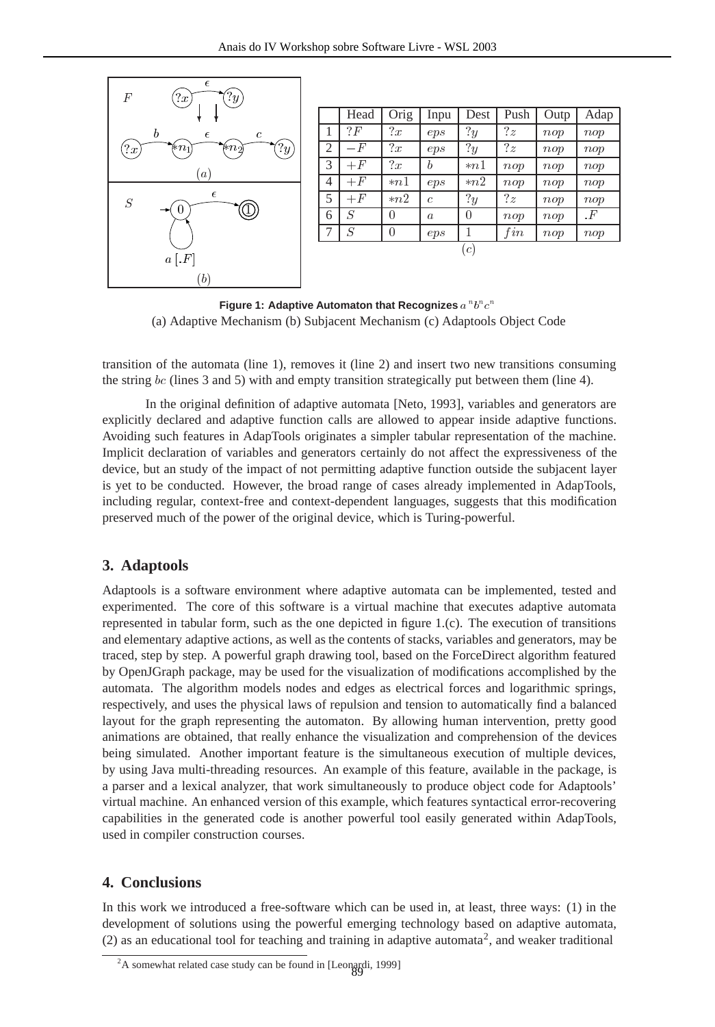

|                                             | Head | Orig     | Inpu             | Dest           | Push     | Outp | Adap      |
|---------------------------------------------|------|----------|------------------|----------------|----------|------|-----------|
| 1                                           | ? F  | x        | eps              | 2y             | ?z       | nop  | nop       |
| 2                                           | $-F$ | ?x       | eps              | $\overline{y}$ | ?z       | nop  | nop       |
| 3                                           | $+F$ | ?x       | b                | $*n1$          | $_{nop}$ | nop  | nop       |
| 4                                           | $+F$ | $*n1$    | eps              | $*n2$          | $_{nop}$ | nop  | nop       |
| 5                                           | $+F$ | $*n2$    | C                | $\overline{y}$ | ?z       | nop  | nop       |
| 6                                           | S    | $\theta$ | $\boldsymbol{a}$ | 0              | nop      | nop  | $\cdot F$ |
| 7                                           | S    |          | eps              | 1              | fin      | nop  | nop       |
| $\mathfrak{c}^{\scriptscriptstyle \dagger}$ |      |          |                  |                |          |      |           |

**Figure 1: Adaptive Automaton that Recognizes** (a) Adaptive Mechanism (b) Subjacent Mechanism (c) Adaptools Object Code

transition of the automata (line 1), removes it (line 2) and insert two new transitions consuming the string  $bc$  (lines 3 and 5) with and empty transition strategically put between them (line 4).

In the original definition of adaptive automata [Neto, 1993], variables and generators are explicitly declared and adaptive function calls are allowed to appear inside adaptive functions. Avoiding such features in AdapTools originates a simpler tabular representation of the machine. Implicit declaration of variables and generators certainly do not affect the expressiveness of the device, but an study of the impact of not permitting adaptive function outside the subjacent layer is yet to be conducted. However, the broad range of cases already implemented in AdapTools, including regular, context-free and context-dependent languages, suggests that this modification preserved much of the power of the original device, which is Turing-powerful.

#### **3. Adaptools**

Adaptools is a software environment where adaptive automata can be implemented, tested and experimented. The core of this software is a virtual machine that executes adaptive automata represented in tabular form, such as the one depicted in figure 1.(c). The execution of transitions and elementary adaptive actions, as well as the contents of stacks, variables and generators, may be traced, step by step. A powerful graph drawing tool, based on the ForceDirect algorithm featured by OpenJGraph package, may be used for the visualization of modifications accomplished by the automata. The algorithm models nodes and edges as electrical forces and logarithmic springs, respectively, and uses the physical laws of repulsion and tension to automatically find a balanced layout for the graph representing the automaton. By allowing human intervention, pretty good animations are obtained, that really enhance the visualization and comprehension of the devices being simulated. Another important feature is the simultaneous execution of multiple devices, by using Java multi-threading resources. An example of this feature, available in the package, is a parser and a lexical analyzer, that work simultaneously to produce object code for Adaptools' virtual machine. An enhanced version of this example, which features syntactical error-recovering capabilities in the generated code is another powerful tool easily generated within AdapTools, used in compiler construction courses.

### **4. Conclusions**

In this work we introduced a free-software which can be used in, at least, three ways: (1) in the development of solutions using the powerful emerging technology based on adaptive automata, (2) as an educational tool for teaching and training in adaptive automata<sup>2</sup>, and weaker traditional

<sup>&</sup>lt;sup>2</sup>A somewhat related case study can be found in [Leonardi, 1999]